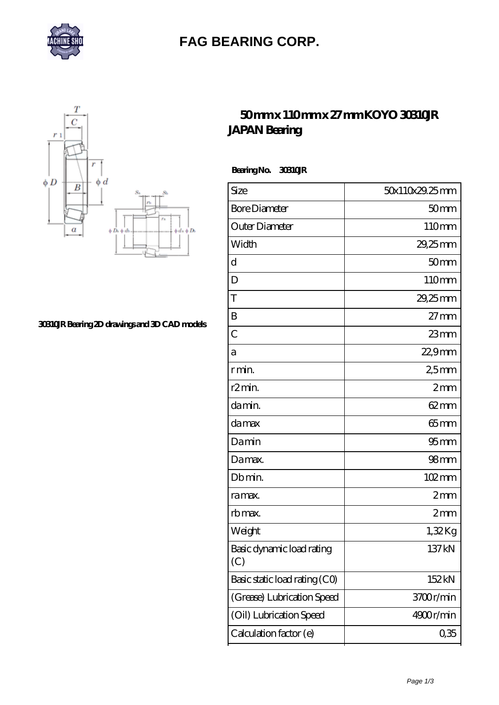

## **[FAG BEARING CORP.](https://mymed.cc)**



**[30310JR Bearing 2D drawings and 3D CAD models](https://mymed.cc/pic-224775.html)**

## **[50 mm x 110 mm x 27 mm KOYO 30310JR](https://mymed.cc/ar-224775-koyo-30310jr-japan-bearing.html) [JAPAN Bearing](https://mymed.cc/ar-224775-koyo-30310jr-japan-bearing.html)**

 **Bearing No. 30310JR**

| Size                             | 50x110x29.25mm   |
|----------------------------------|------------------|
| <b>Bore Diameter</b>             | 50 <sub>mm</sub> |
| Outer Diameter                   | 110mm            |
| Width                            | 29,25mm          |
| d                                | 50 <sub>mm</sub> |
| D                                | 110mm            |
| T                                | 29,25mm          |
| B                                | $27$ mm          |
| $\overline{C}$                   | $23$ mm          |
| а                                | 22,9mm           |
| r min.                           | 25mm             |
| r2min.                           | 2mm              |
| da min.                          | $62 \text{mm}$   |
| da max                           | $65 \text{mm}$   |
| Damin                            | 95 <sub>mm</sub> |
| Damax.                           | 98 <sub>mm</sub> |
| Db min.                          | 102mm            |
| ra max.                          | 2mm              |
| rb max.                          | 2mm              |
| Weight                           | 1,32Kg           |
| Basic dynamic load rating<br>(C) | 137kN            |
| Basic static load rating (CO)    | 152kN            |
| (Grease) Lubrication Speed       | 3700r/min        |
| (Oil) Lubrication Speed          | 4900r/min        |
| Calculation factor (e)           | 0,35             |
|                                  |                  |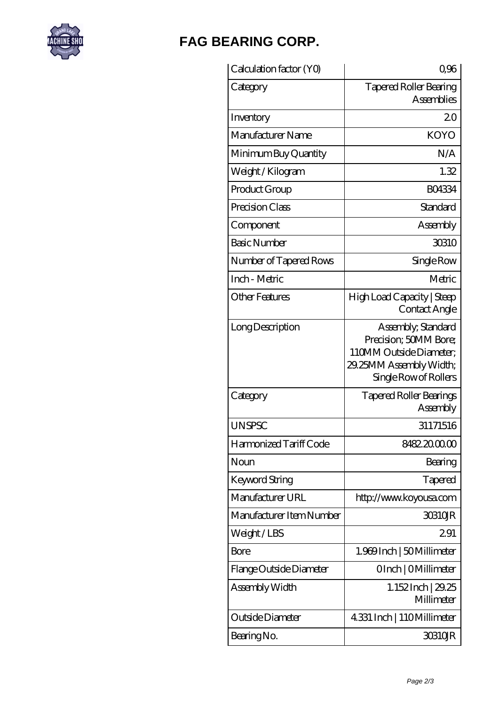

## **[FAG BEARING CORP.](https://mymed.cc)**

| Calculation factor (YO)  | 0,96                                                                                                                       |
|--------------------------|----------------------------------------------------------------------------------------------------------------------------|
| Category                 | <b>Tapered Roller Bearing</b><br><b>Assemblies</b>                                                                         |
| Inventory                | 20                                                                                                                         |
| Manufacturer Name        | <b>KOYO</b>                                                                                                                |
| Minimum Buy Quantity     | N/A                                                                                                                        |
| Weight / Kilogram        | 1.32                                                                                                                       |
| Product Group            | <b>BO4334</b>                                                                                                              |
| Precision Class          | Standard                                                                                                                   |
| Component                | Assembly                                                                                                                   |
| <b>Basic Number</b>      | 30310                                                                                                                      |
| Number of Tapered Rows   | Single Row                                                                                                                 |
| Inch - Metric            | Metric                                                                                                                     |
| Other Features           | High Load Capacity   Steep<br>Contact Angle                                                                                |
| Long Description         | Assembly, Standard<br>Precision; 50MM Bore;<br>110MM Outside Diameter:<br>29.25MM Assembly Width;<br>Single Row of Rollers |
| Category                 | <b>Tapered Roller Bearings</b><br>Assembly                                                                                 |
| UNSPSC                   | 31171516                                                                                                                   |
| Harmonized Tariff Code   | 8482.2000.00                                                                                                               |
| Noun                     | Bearing                                                                                                                    |
| Keyword String           | Tapered                                                                                                                    |
| Manufacturer URL         | http://www.koyousa.com                                                                                                     |
| Manufacturer Item Number | 30310JR                                                                                                                    |
| Weight/LBS               | 291                                                                                                                        |
| Bore                     | 1.969Inch   50Millimeter                                                                                                   |
| Flange Outside Diameter  | OInch   OMillimeter                                                                                                        |
| Assembly Width           | 1.152 Inch   29.25<br>Millimeter                                                                                           |
| Outside Diameter         | 4331 Inch   110Millimeter                                                                                                  |
| Bearing No.              | 30310JR                                                                                                                    |